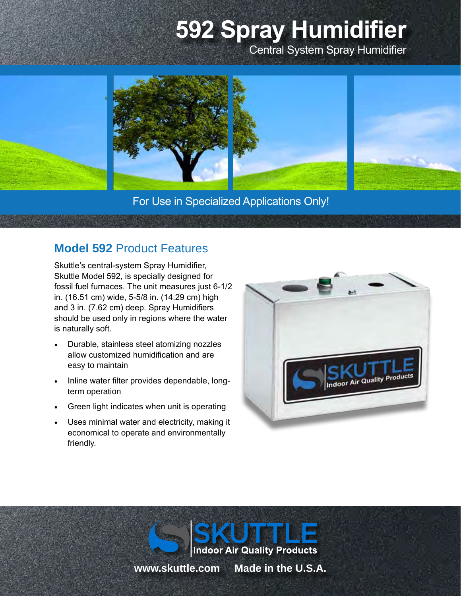# **592 Spray Humidifier** Central System Spray Humidifier



For Use in Specialized Applications Only!

## **Model 592** Product Features

Skuttle's central-system Spray Humidifier, Skuttle Model 592, is specially designed for fossil fuel furnaces. The unit measures just 6-1/2 in. (16.51 cm) wide, 5-5/8 in. (14.29 cm) high and 3 in. (7.62 cm) deep. Spray Humidifiers should be used only in regions where the water is naturally soft.

- Durable, stainless steel atomizing nozzles allow customized humidification and are easy to maintain
- Inline water filter provides dependable, longterm operation
- Green light indicates when unit is operating
- Uses minimal water and electricity, making it economical to operate and environmentally friendly.



**Indoor Air Quality Products www.skuttle.com Made in the U.S.A.**